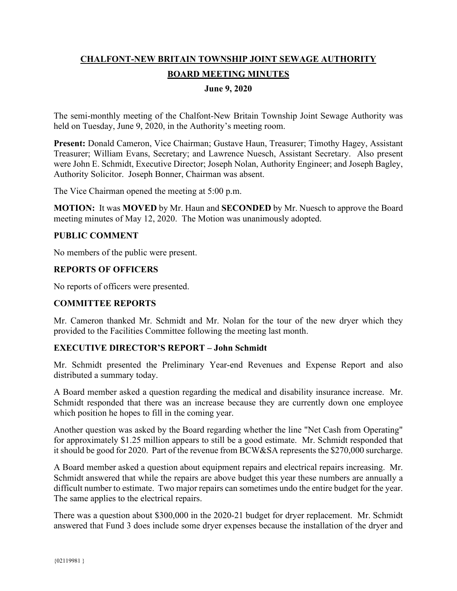# **CHALFONT-NEW BRITAIN TOWNSHIP JOINT SEWAGE AUTHORITY BOARD MEETING MINUTES**

# **June 9, 2020**

The semi-monthly meeting of the Chalfont-New Britain Township Joint Sewage Authority was held on Tuesday, June 9, 2020, in the Authority's meeting room.

**Present:** Donald Cameron, Vice Chairman; Gustave Haun, Treasurer; Timothy Hagey, Assistant Treasurer; William Evans, Secretary; and Lawrence Nuesch, Assistant Secretary. Also present were John E. Schmidt, Executive Director; Joseph Nolan, Authority Engineer; and Joseph Bagley, Authority Solicitor. Joseph Bonner, Chairman was absent.

The Vice Chairman opened the meeting at 5:00 p.m.

**MOTION:** It was **MOVED** by Mr. Haun and **SECONDED** by Mr. Nuesch to approve the Board meeting minutes of May 12, 2020. The Motion was unanimously adopted.

# **PUBLIC COMMENT**

No members of the public were present.

#### **REPORTS OF OFFICERS**

No reports of officers were presented.

# **COMMITTEE REPORTS**

Mr. Cameron thanked Mr. Schmidt and Mr. Nolan for the tour of the new dryer which they provided to the Facilities Committee following the meeting last month.

#### **EXECUTIVE DIRECTOR'S REPORT – John Schmidt**

Mr. Schmidt presented the Preliminary Year-end Revenues and Expense Report and also distributed a summary today.

A Board member asked a question regarding the medical and disability insurance increase. Mr. Schmidt responded that there was an increase because they are currently down one employee which position he hopes to fill in the coming year.

Another question was asked by the Board regarding whether the line "Net Cash from Operating" for approximately \$1.25 million appears to still be a good estimate. Mr. Schmidt responded that it should be good for 2020. Part of the revenue from BCW&SA represents the \$270,000 surcharge.

A Board member asked a question about equipment repairs and electrical repairs increasing. Mr. Schmidt answered that while the repairs are above budget this year these numbers are annually a difficult number to estimate. Two major repairs can sometimes undo the entire budget for the year. The same applies to the electrical repairs.

There was a question about \$300,000 in the 2020-21 budget for dryer replacement. Mr. Schmidt answered that Fund 3 does include some dryer expenses because the installation of the dryer and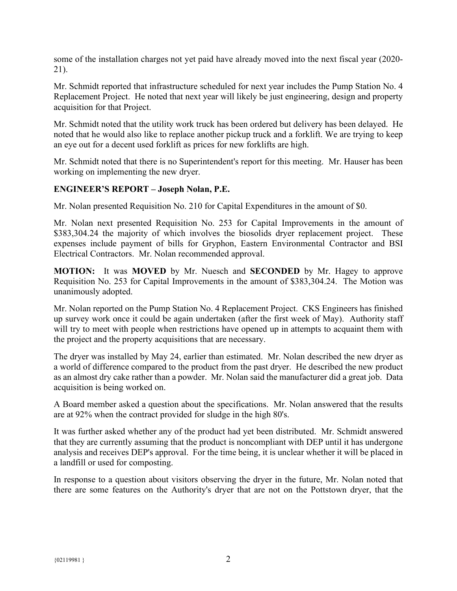some of the installation charges not yet paid have already moved into the next fiscal year (2020- 21).

Mr. Schmidt reported that infrastructure scheduled for next year includes the Pump Station No. 4 Replacement Project. He noted that next year will likely be just engineering, design and property acquisition for that Project.

Mr. Schmidt noted that the utility work truck has been ordered but delivery has been delayed. He noted that he would also like to replace another pickup truck and a forklift. We are trying to keep an eye out for a decent used forklift as prices for new forklifts are high.

Mr. Schmidt noted that there is no Superintendent's report for this meeting. Mr. Hauser has been working on implementing the new dryer.

# **ENGINEER'S REPORT – Joseph Nolan, P.E.**

Mr. Nolan presented Requisition No. 210 for Capital Expenditures in the amount of \$0.

Mr. Nolan next presented Requisition No. 253 for Capital Improvements in the amount of \$383,304.24 the majority of which involves the biosolids dryer replacement project. These expenses include payment of bills for Gryphon, Eastern Environmental Contractor and BSI Electrical Contractors. Mr. Nolan recommended approval.

**MOTION:** It was **MOVED** by Mr. Nuesch and **SECONDED** by Mr. Hagey to approve Requisition No. 253 for Capital Improvements in the amount of \$383,304.24. The Motion was unanimously adopted.

Mr. Nolan reported on the Pump Station No. 4 Replacement Project. CKS Engineers has finished up survey work once it could be again undertaken (after the first week of May). Authority staff will try to meet with people when restrictions have opened up in attempts to acquaint them with the project and the property acquisitions that are necessary.

The dryer was installed by May 24, earlier than estimated. Mr. Nolan described the new dryer as a world of difference compared to the product from the past dryer. He described the new product as an almost dry cake rather than a powder. Mr. Nolan said the manufacturer did a great job. Data acquisition is being worked on.

A Board member asked a question about the specifications. Mr. Nolan answered that the results are at 92% when the contract provided for sludge in the high 80's.

It was further asked whether any of the product had yet been distributed. Mr. Schmidt answered that they are currently assuming that the product is noncompliant with DEP until it has undergone analysis and receives DEP's approval. For the time being, it is unclear whether it will be placed in a landfill or used for composting.

In response to a question about visitors observing the dryer in the future, Mr. Nolan noted that there are some features on the Authority's dryer that are not on the Pottstown dryer, that the